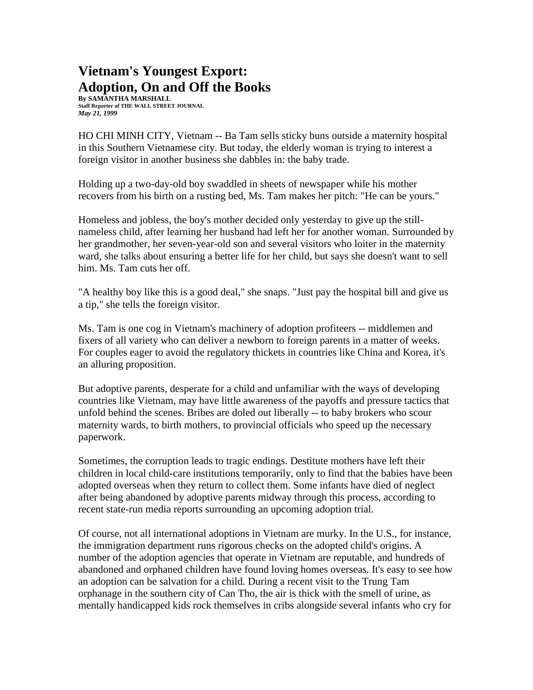## **Vietnam's Youngest Export: Adoption, On and Off the Books**

**By SAMANTHA MARSHALL Staff Reporter of THE WALL STREET JOURNAL** *May 21, 1999*

HO CHI MINH CITY, Vietnam -- Ba Tam sells sticky buns outside a maternity hospital in this Southern Vietnamese city. But today, the elderly woman is trying to interest a foreign visitor in another business she dabbles in: the baby trade.

Holding up a two-day-old boy swaddled in sheets of newspaper while his mother recovers from his birth on a rusting bed, Ms. Tam makes her pitch: "He can be yours."

Homeless and jobless, the boy's mother decided only yesterday to give up the stillnameless child, after learning her husband had left her for another woman. Surrounded by her grandmother, her seven-year-old son and several visitors who loiter in the maternity ward, she talks about ensuring a better life for her child, but says she doesn't want to sell him. Ms. Tam cuts her off.

"A healthy boy like this is a good deal," she snaps. "Just pay the hospital bill and give us a tip," she tells the foreign visitor.

Ms. Tam is one cog in Vietnam's machinery of adoption profiteers -- middlemen and fixers of all variety who can deliver a newborn to foreign parents in a matter of weeks. For couples eager to avoid the regulatory thickets in countries like China and Korea, it's an alluring proposition.

But adoptive parents, desperate for a child and unfamiliar with the ways of developing countries like Vietnam, may have little awareness of the payoffs and pressure tactics that unfold behind the scenes. Bribes are doled out liberally -- to baby brokers who scour maternity wards, to birth mothers, to provincial officials who speed up the necessary paperwork.

Sometimes, the corruption leads to tragic endings. Destitute mothers have left their children in local child-care institutions temporarily, only to find that the babies have been adopted overseas when they return to collect them. Some infants have died of neglect after being abandoned by adoptive parents midway through this process, according to recent state-run media reports surrounding an upcoming adoption trial.

Of course, not all international adoptions in Vietnam are murky. In the U.S., for instance, the immigration department runs rigorous checks on the adopted child's origins. A number of the adoption agencies that operate in Vietnam are reputable, and hundreds of abandoned and orphaned children have found loving homes overseas. It's easy to see how an adoption can be salvation for a child. During a recent visit to the Trung Tam orphanage in the southern city of Can Tho, the air is thick with the smell of urine, as mentally handicapped kids rock themselves in cribs alongside several infants who cry for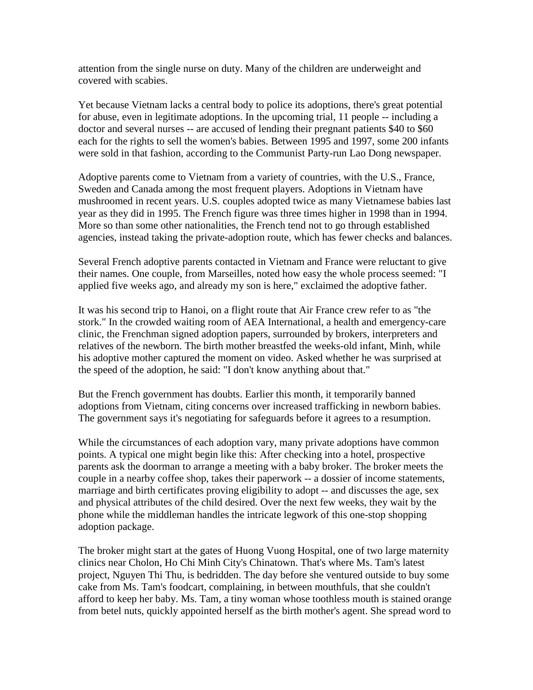attention from the single nurse on duty. Many of the children are underweight and covered with scabies.

Yet because Vietnam lacks a central body to police its adoptions, there's great potential for abuse, even in legitimate adoptions. In the upcoming trial, 11 people -- including a doctor and several nurses -- are accused of lending their pregnant patients \$40 to \$60 each for the rights to sell the women's babies. Between 1995 and 1997, some 200 infants were sold in that fashion, according to the Communist Party-run Lao Dong newspaper.

Adoptive parents come to Vietnam from a variety of countries, with the U.S., France, Sweden and Canada among the most frequent players. Adoptions in Vietnam have mushroomed in recent years. U.S. couples adopted twice as many Vietnamese babies last year as they did in 1995. The French figure was three times higher in 1998 than in 1994. More so than some other nationalities, the French tend not to go through established agencies, instead taking the private-adoption route, which has fewer checks and balances.

Several French adoptive parents contacted in Vietnam and France were reluctant to give their names. One couple, from Marseilles, noted how easy the whole process seemed: "I applied five weeks ago, and already my son is here," exclaimed the adoptive father.

It was his second trip to Hanoi, on a flight route that Air France crew refer to as "the stork." In the crowded waiting room of AEA International, a health and emergency-care clinic, the Frenchman signed adoption papers, surrounded by brokers, interpreters and relatives of the newborn. The birth mother breastfed the weeks-old infant, Minh, while his adoptive mother captured the moment on video. Asked whether he was surprised at the speed of the adoption, he said: "I don't know anything about that."

But the French government has doubts. Earlier this month, it temporarily banned adoptions from Vietnam, citing concerns over increased trafficking in newborn babies. The government says it's negotiating for safeguards before it agrees to a resumption.

While the circumstances of each adoption vary, many private adoptions have common points. A typical one might begin like this: After checking into a hotel, prospective parents ask the doorman to arrange a meeting with a baby broker. The broker meets the couple in a nearby coffee shop, takes their paperwork -- a dossier of income statements, marriage and birth certificates proving eligibility to adopt -- and discusses the age, sex and physical attributes of the child desired. Over the next few weeks, they wait by the phone while the middleman handles the intricate legwork of this one-stop shopping adoption package.

The broker might start at the gates of Huong Vuong Hospital, one of two large maternity clinics near Cholon, Ho Chi Minh City's Chinatown. That's where Ms. Tam's latest project, Nguyen Thi Thu, is bedridden. The day before she ventured outside to buy some cake from Ms. Tam's foodcart, complaining, in between mouthfuls, that she couldn't afford to keep her baby. Ms. Tam, a tiny woman whose toothless mouth is stained orange from betel nuts, quickly appointed herself as the birth mother's agent. She spread word to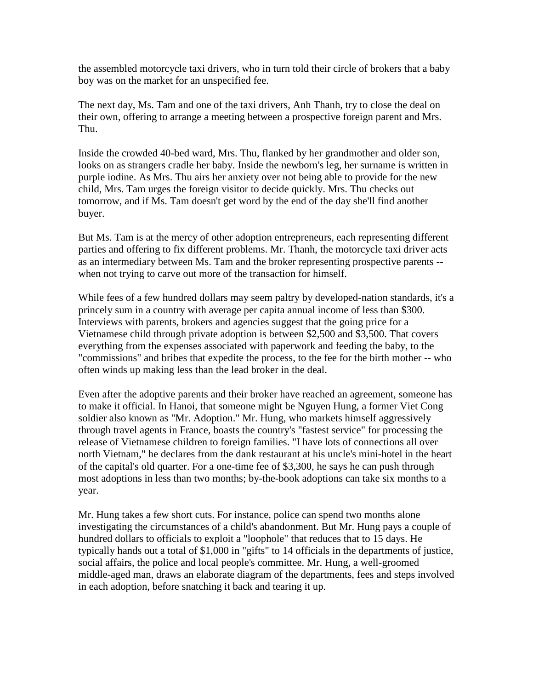the assembled motorcycle taxi drivers, who in turn told their circle of brokers that a baby boy was on the market for an unspecified fee.

The next day, Ms. Tam and one of the taxi drivers, Anh Thanh, try to close the deal on their own, offering to arrange a meeting between a prospective foreign parent and Mrs. Thu.

Inside the crowded 40-bed ward, Mrs. Thu, flanked by her grandmother and older son, looks on as strangers cradle her baby. Inside the newborn's leg, her surname is written in purple iodine. As Mrs. Thu airs her anxiety over not being able to provide for the new child, Mrs. Tam urges the foreign visitor to decide quickly. Mrs. Thu checks out tomorrow, and if Ms. Tam doesn't get word by the end of the day she'll find another buyer.

But Ms. Tam is at the mercy of other adoption entrepreneurs, each representing different parties and offering to fix different problems. Mr. Thanh, the motorcycle taxi driver acts as an intermediary between Ms. Tam and the broker representing prospective parents - when not trying to carve out more of the transaction for himself.

While fees of a few hundred dollars may seem paltry by developed-nation standards, it's a princely sum in a country with average per capita annual income of less than \$300. Interviews with parents, brokers and agencies suggest that the going price for a Vietnamese child through private adoption is between \$2,500 and \$3,500. That covers everything from the expenses associated with paperwork and feeding the baby, to the "commissions" and bribes that expedite the process, to the fee for the birth mother -- who often winds up making less than the lead broker in the deal.

Even after the adoptive parents and their broker have reached an agreement, someone has to make it official. In Hanoi, that someone might be Nguyen Hung, a former Viet Cong soldier also known as "Mr. Adoption." Mr. Hung, who markets himself aggressively through travel agents in France, boasts the country's "fastest service" for processing the release of Vietnamese children to foreign families. "I have lots of connections all over north Vietnam," he declares from the dank restaurant at his uncle's mini-hotel in the heart of the capital's old quarter. For a one-time fee of \$3,300, he says he can push through most adoptions in less than two months; by-the-book adoptions can take six months to a year.

Mr. Hung takes a few short cuts. For instance, police can spend two months alone investigating the circumstances of a child's abandonment. But Mr. Hung pays a couple of hundred dollars to officials to exploit a "loophole" that reduces that to 15 days. He typically hands out a total of \$1,000 in "gifts" to 14 officials in the departments of justice, social affairs, the police and local people's committee. Mr. Hung, a well-groomed middle-aged man, draws an elaborate diagram of the departments, fees and steps involved in each adoption, before snatching it back and tearing it up.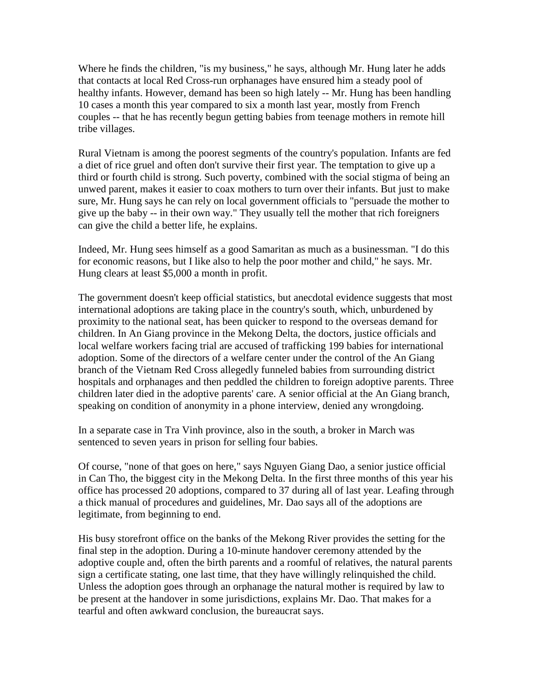Where he finds the children, "is my business," he says, although Mr. Hung later he adds that contacts at local Red Cross-run orphanages have ensured him a steady pool of healthy infants. However, demand has been so high lately -- Mr. Hung has been handling 10 cases a month this year compared to six a month last year, mostly from French couples -- that he has recently begun getting babies from teenage mothers in remote hill tribe villages.

Rural Vietnam is among the poorest segments of the country's population. Infants are fed a diet of rice gruel and often don't survive their first year. The temptation to give up a third or fourth child is strong. Such poverty, combined with the social stigma of being an unwed parent, makes it easier to coax mothers to turn over their infants. But just to make sure, Mr. Hung says he can rely on local government officials to "persuade the mother to give up the baby -- in their own way." They usually tell the mother that rich foreigners can give the child a better life, he explains.

Indeed, Mr. Hung sees himself as a good Samaritan as much as a businessman. "I do this for economic reasons, but I like also to help the poor mother and child," he says. Mr. Hung clears at least \$5,000 a month in profit.

The government doesn't keep official statistics, but anecdotal evidence suggests that most international adoptions are taking place in the country's south, which, unburdened by proximity to the national seat, has been quicker to respond to the overseas demand for children. In An Giang province in the Mekong Delta, the doctors, justice officials and local welfare workers facing trial are accused of trafficking 199 babies for international adoption. Some of the directors of a welfare center under the control of the An Giang branch of the Vietnam Red Cross allegedly funneled babies from surrounding district hospitals and orphanages and then peddled the children to foreign adoptive parents. Three children later died in the adoptive parents' care. A senior official at the An Giang branch, speaking on condition of anonymity in a phone interview, denied any wrongdoing.

In a separate case in Tra Vinh province, also in the south, a broker in March was sentenced to seven years in prison for selling four babies.

Of course, "none of that goes on here," says Nguyen Giang Dao, a senior justice official in Can Tho, the biggest city in the Mekong Delta. In the first three months of this year his office has processed 20 adoptions, compared to 37 during all of last year. Leafing through a thick manual of procedures and guidelines, Mr. Dao says all of the adoptions are legitimate, from beginning to end.

His busy storefront office on the banks of the Mekong River provides the setting for the final step in the adoption. During a 10-minute handover ceremony attended by the adoptive couple and, often the birth parents and a roomful of relatives, the natural parents sign a certificate stating, one last time, that they have willingly relinquished the child. Unless the adoption goes through an orphanage the natural mother is required by law to be present at the handover in some jurisdictions, explains Mr. Dao. That makes for a tearful and often awkward conclusion, the bureaucrat says.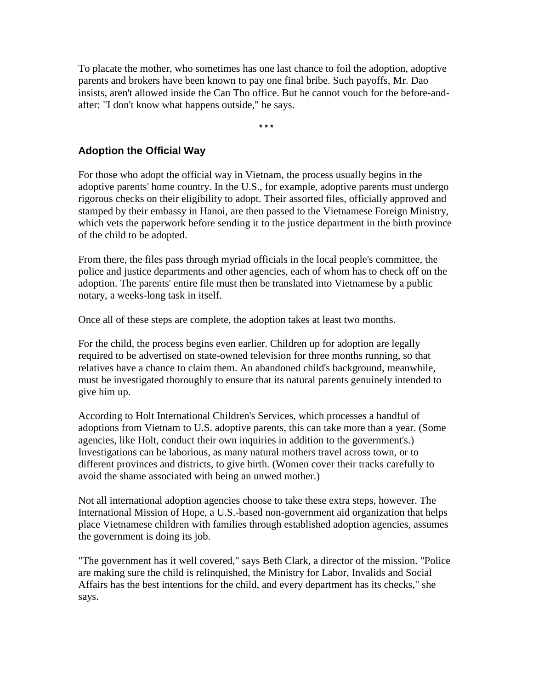To placate the mother, who sometimes has one last chance to foil the adoption, adoptive parents and brokers have been known to pay one final bribe. Such payoffs, Mr. Dao insists, aren't allowed inside the Can Tho office. But he cannot vouch for the before-andafter: "I don't know what happens outside," he says.

**\* \* \***

## **Adoption the Official Way**

For those who adopt the official way in Vietnam, the process usually begins in the adoptive parents' home country. In the U.S., for example, adoptive parents must undergo rigorous checks on their eligibility to adopt. Their assorted files, officially approved and stamped by their embassy in Hanoi, are then passed to the Vietnamese Foreign Ministry, which vets the paperwork before sending it to the justice department in the birth province of the child to be adopted.

From there, the files pass through myriad officials in the local people's committee, the police and justice departments and other agencies, each of whom has to check off on the adoption. The parents' entire file must then be translated into Vietnamese by a public notary, a weeks-long task in itself.

Once all of these steps are complete, the adoption takes at least two months.

For the child, the process begins even earlier. Children up for adoption are legally required to be advertised on state-owned television for three months running, so that relatives have a chance to claim them. An abandoned child's background, meanwhile, must be investigated thoroughly to ensure that its natural parents genuinely intended to give him up.

According to Holt International Children's Services, which processes a handful of adoptions from Vietnam to U.S. adoptive parents, this can take more than a year. (Some agencies, like Holt, conduct their own inquiries in addition to the government's.) Investigations can be laborious, as many natural mothers travel across town, or to different provinces and districts, to give birth. (Women cover their tracks carefully to avoid the shame associated with being an unwed mother.)

Not all international adoption agencies choose to take these extra steps, however. The International Mission of Hope, a U.S.-based non-government aid organization that helps place Vietnamese children with families through established adoption agencies, assumes the government is doing its job.

"The government has it well covered," says Beth Clark, a director of the mission. "Police are making sure the child is relinquished, the Ministry for Labor, Invalids and Social Affairs has the best intentions for the child, and every department has its checks," she says.